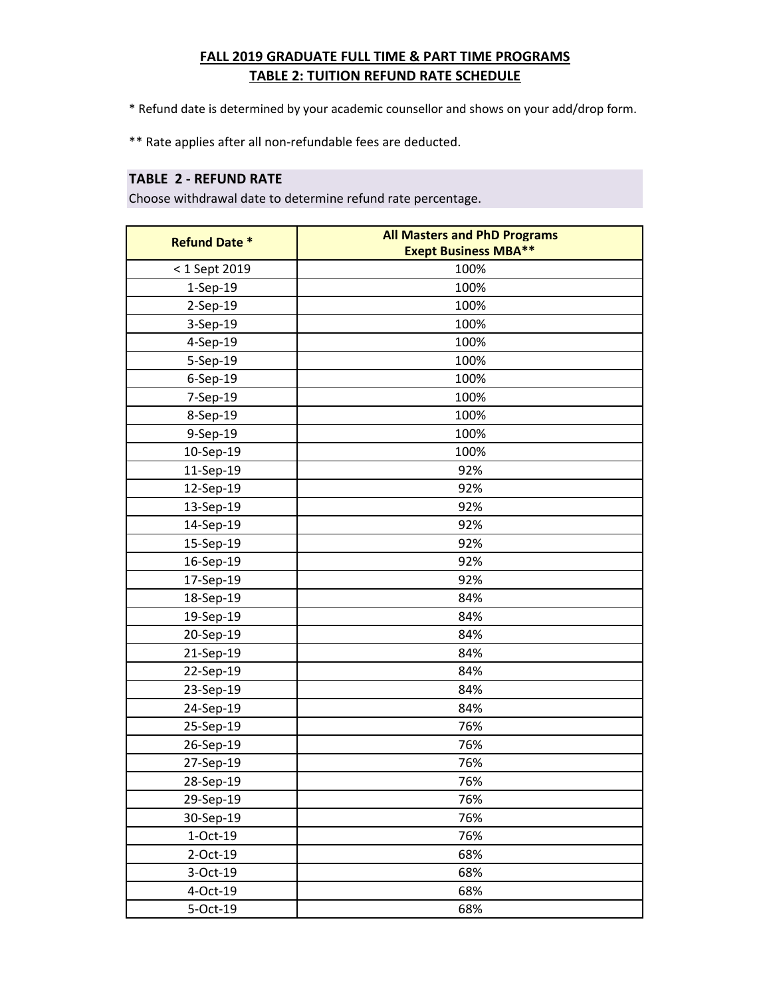# **FALL 2019 GRADUATE FULL TIME & PART TIME PROGRAMS TABLE 2: TUITION REFUND RATE SCHEDULE**

\* Refund date is determined by your academic counsellor and shows on your add/drop form.

\*\* Rate applies after all non-refundable fees are deducted.

### **TABLE 2 - REFUND RATE**

Choose withdrawal date to determine refund rate percentage.

| <b>Refund Date *</b> | <b>All Masters and PhD Programs</b><br><b>Exept Business MBA**</b> |
|----------------------|--------------------------------------------------------------------|
| < 1 Sept 2019        | 100%                                                               |
| $1-Sep-19$           | 100%                                                               |
| 2-Sep-19             | 100%                                                               |
| $3-Sep-19$           | 100%                                                               |
| 4-Sep-19             | 100%                                                               |
| 5-Sep-19             | 100%                                                               |
| $6-$ Sep $-19$       | 100%                                                               |
| 7-Sep-19             | 100%                                                               |
| 8-Sep-19             | 100%                                                               |
| 9-Sep-19             | 100%                                                               |
| 10-Sep-19            | 100%                                                               |
| 11-Sep-19            | 92%                                                                |
| 12-Sep-19            | 92%                                                                |
| 13-Sep-19            | 92%                                                                |
| 14-Sep-19            | 92%                                                                |
| 15-Sep-19            | 92%                                                                |
| 16-Sep-19            | 92%                                                                |
| 17-Sep-19            | 92%                                                                |
| 18-Sep-19            | 84%                                                                |
| 19-Sep-19            | 84%                                                                |
| 20-Sep-19            | 84%                                                                |
| 21-Sep-19            | 84%                                                                |
| 22-Sep-19            | 84%                                                                |
| 23-Sep-19            | 84%                                                                |
| 24-Sep-19            | 84%                                                                |
| 25-Sep-19            | 76%                                                                |
| 26-Sep-19            | 76%                                                                |
| 27-Sep-19            | 76%                                                                |
| 28-Sep-19            | 76%                                                                |
| 29-Sep-19            | 76%                                                                |
| 30-Sep-19            | 76%                                                                |
| $1-Oct-19$           | 76%                                                                |
| 2-Oct-19             | 68%                                                                |
| 3-Oct-19             | 68%                                                                |
| 4-Oct-19             | 68%                                                                |
| 5-Oct-19             | 68%                                                                |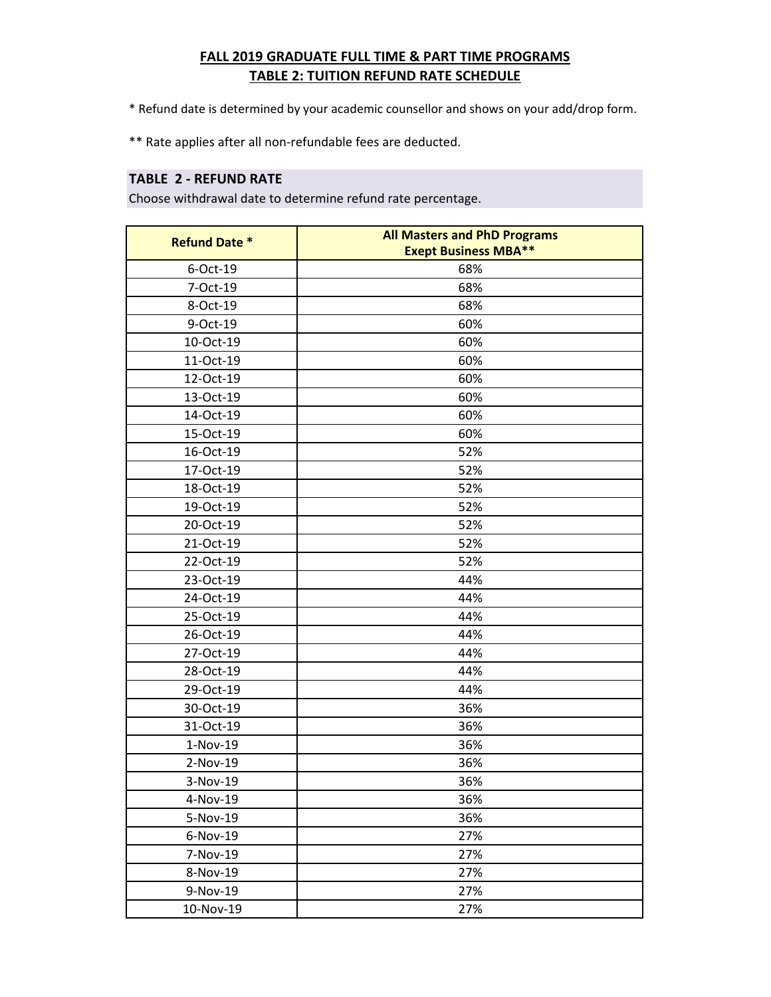# **FALL 2019 GRADUATE FULL TIME & PART TIME PROGRAMS TABLE 2: TUITION REFUND RATE SCHEDULE**

\* Refund date is determined by your academic counsellor and shows on your add/drop form.

\*\* Rate applies after all non-refundable fees are deducted.

### **TABLE 2 - REFUND RATE**

Choose withdrawal date to determine refund rate percentage.

| <b>Refund Date *</b> | <b>All Masters and PhD Programs</b><br><b>Exept Business MBA**</b> |
|----------------------|--------------------------------------------------------------------|
| 6-Oct-19             | 68%                                                                |
| 7-Oct-19             | 68%                                                                |
| 8-Oct-19             | 68%                                                                |
| 9-Oct-19             | 60%                                                                |
| 10-Oct-19            | 60%                                                                |
| 11-Oct-19            | 60%                                                                |
| 12-Oct-19            | 60%                                                                |
| 13-Oct-19            | 60%                                                                |
| 14-Oct-19            | 60%                                                                |
| 15-Oct-19            | 60%                                                                |
| 16-Oct-19            | 52%                                                                |
| 17-Oct-19            | 52%                                                                |
| 18-Oct-19            | 52%                                                                |
| 19-Oct-19            | 52%                                                                |
| 20-Oct-19            | 52%                                                                |
| 21-Oct-19            | 52%                                                                |
| 22-Oct-19            | 52%                                                                |
| 23-Oct-19            | 44%                                                                |
| 24-Oct-19            | 44%                                                                |
| 25-Oct-19            | 44%                                                                |
| 26-Oct-19            | 44%                                                                |
| 27-Oct-19            | 44%                                                                |
| 28-Oct-19            | 44%                                                                |
| 29-Oct-19            | 44%                                                                |
| 30-Oct-19            | 36%                                                                |
| 31-Oct-19            | 36%                                                                |
| 1-Nov-19             | 36%                                                                |
| 2-Nov-19             | 36%                                                                |
| 3-Nov-19             | 36%                                                                |
| 4-Nov-19             | 36%                                                                |
| 5-Nov-19             | 36%                                                                |
| 6-Nov-19             | 27%                                                                |
| 7-Nov-19             | 27%                                                                |
| 8-Nov-19             | 27%                                                                |
| 9-Nov-19             | 27%                                                                |
| 10-Nov-19            | 27%                                                                |